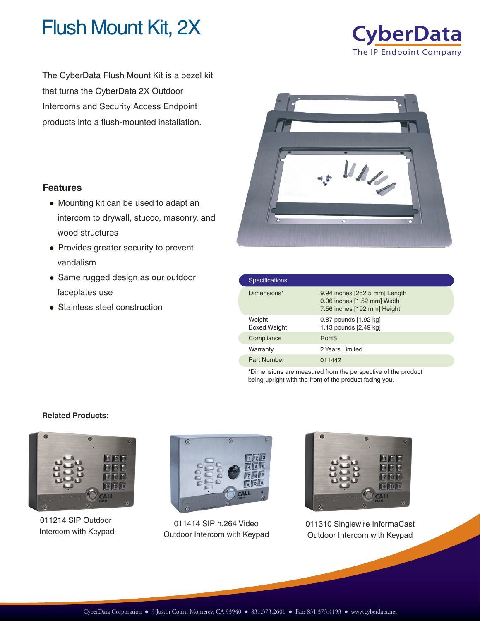

**CyberData** The IP Endpoint Company

The CyberData Flush Mount Kit is a bezel kit that turns the CyberData 2X Outdoor Intercoms and Security Access Endpoint products into a flush-mounted installation.



| <b>Specifications</b>         |                                                                                             |
|-------------------------------|---------------------------------------------------------------------------------------------|
| Dimensions*                   | 9.94 inches [252.5 mm] Length<br>0.06 inches [1.52 mm] Width<br>7.56 inches [192 mm] Height |
| Weight<br><b>Boxed Weight</b> | 0.87 pounds [1.92 kg]<br>1.13 pounds [2.49 kg]                                              |
| Compliance                    | <b>RoHS</b>                                                                                 |
| Warranty                      | 2 Years Limited                                                                             |
| <b>Part Number</b>            | 011442                                                                                      |

\*Dimensions are measured from the perspective of the product being upright with the front of the product facing you.

## **Features**

- Mounting kit can be used to adapt an intercom to drywall, stucco, masonry, and wood structures
- Provides greater security to prevent vandalism
- Same rugged design as our outdoor faceplates use
- Stainless steel construction

## **Related Products:**



011214 SIP Outdoor



011414 SIP h.264 Video Outdoor Intercom with Keypad



011214 Sir Outdoor 011414 Sir h.264 Video 011310 Singlewire InformaCast<br>Intercom with Keypad Outdoor Intercom with Keypad Outdoor Intercom with Keypad Outdoor Intercom with Keypad